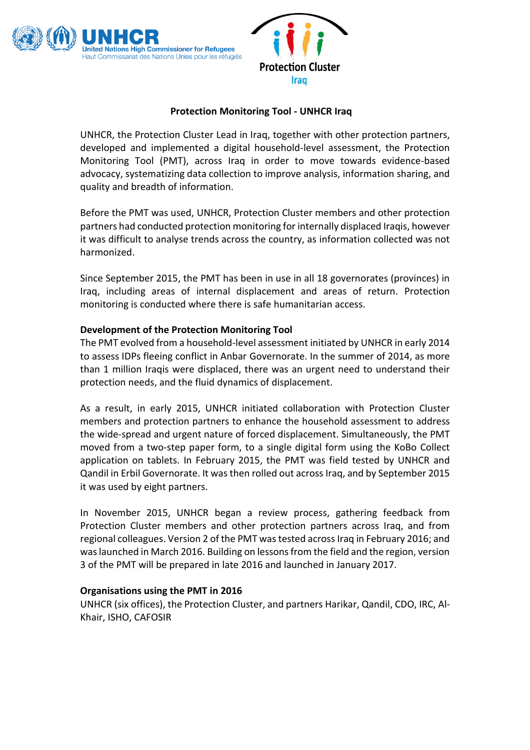

## **Protection Monitoring Tool - UNHCR Iraq**

UNHCR, the Protection Cluster Lead in Iraq, together with other protection partners, developed and implemented a digital household-level assessment, the Protection Monitoring Tool (PMT), across Iraq in order to move towards evidence-based advocacy, systematizing data collection to improve analysis, information sharing, and quality and breadth of information.

Before the PMT was used, UNHCR, Protection Cluster members and other protection partners had conducted protection monitoring for internally displaced Iraqis, however it was difficult to analyse trends across the country, as information collected was not harmonized.

Since September 2015, the PMT has been in use in all 18 governorates (provinces) in Iraq, including areas of internal displacement and areas of return. Protection monitoring is conducted where there is safe humanitarian access.

## **Development of the Protection Monitoring Tool**

The PMT evolved from a household-level assessment initiated by UNHCR in early 2014 to assess IDPs fleeing conflict in Anbar Governorate. In the summer of 2014, as more than 1 million Iraqis were displaced, there was an urgent need to understand their protection needs, and the fluid dynamics of displacement.

As a result, in early 2015, UNHCR initiated collaboration with Protection Cluster members and protection partners to enhance the household assessment to address the wide-spread and urgent nature of forced displacement. Simultaneously, the PMT moved from a two-step paper form, to a single digital form using the KoBo Collect application on tablets. In February 2015, the PMT was field tested by UNHCR and Qandil in Erbil Governorate. It was then rolled out across Iraq, and by September 2015 it was used by eight partners.

In November 2015, UNHCR began a review process, gathering feedback from Protection Cluster members and other protection partners across Iraq, and from regional colleagues. Version 2 of the PMT was tested across Iraq in February 2016; and was launched in March 2016. Building on lessons from the field and the region, version 3 of the PMT will be prepared in late 2016 and launched in January 2017.

#### **Organisations using the PMT in 2016**

UNHCR (six offices), the Protection Cluster, and partners Harikar, Qandil, CDO, IRC, Al-Khair, ISHO, CAFOSIR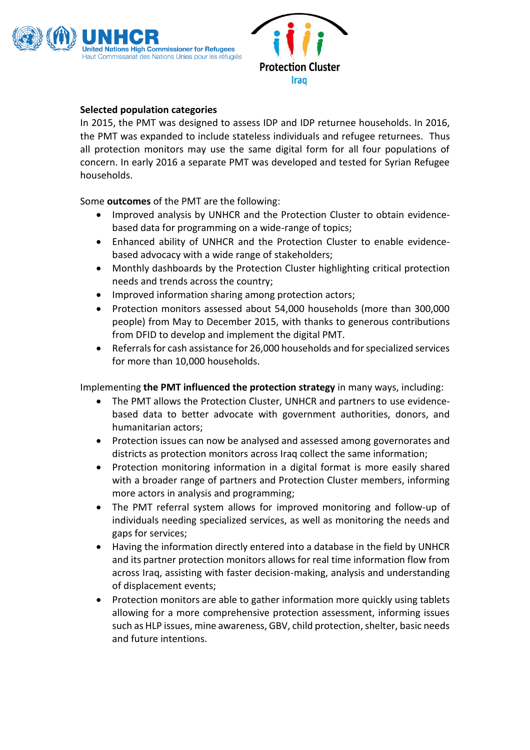

# **Selected population categories**

In 2015, the PMT was designed to assess IDP and IDP returnee households. In 2016, the PMT was expanded to include stateless individuals and refugee returnees. Thus all protection monitors may use the same digital form for all four populations of concern. In early 2016 a separate PMT was developed and tested for Syrian Refugee households.

Some **outcomes** of the PMT are the following:

- Improved analysis by UNHCR and the Protection Cluster to obtain evidencebased data for programming on a wide-range of topics;
- Enhanced ability of UNHCR and the Protection Cluster to enable evidencebased advocacy with a wide range of stakeholders;
- Monthly dashboards by the Protection Cluster highlighting critical protection needs and trends across the country;
- Improved information sharing among protection actors;
- Protection monitors assessed about 54,000 households (more than 300,000 people) from May to December 2015, with thanks to generous contributions from DFID to develop and implement the digital PMT.
- Referrals for cash assistance for 26,000 households and for specialized services for more than 10,000 households.

Implementing **the PMT influenced the protection strategy** in many ways, including:

- The PMT allows the Protection Cluster, UNHCR and partners to use evidencebased data to better advocate with government authorities, donors, and humanitarian actors;
- Protection issues can now be analysed and assessed among governorates and districts as protection monitors across Iraq collect the same information;
- Protection monitoring information in a digital format is more easily shared with a broader range of partners and Protection Cluster members, informing more actors in analysis and programming;
- The PMT referral system allows for improved monitoring and follow-up of individuals needing specialized services, as well as monitoring the needs and gaps for services;
- Having the information directly entered into a database in the field by UNHCR and its partner protection monitors allows for real time information flow from across Iraq, assisting with faster decision-making, analysis and understanding of displacement events;
- Protection monitors are able to gather information more quickly using tablets allowing for a more comprehensive protection assessment, informing issues such as HLP issues, mine awareness, GBV, child protection, shelter, basic needs and future intentions.